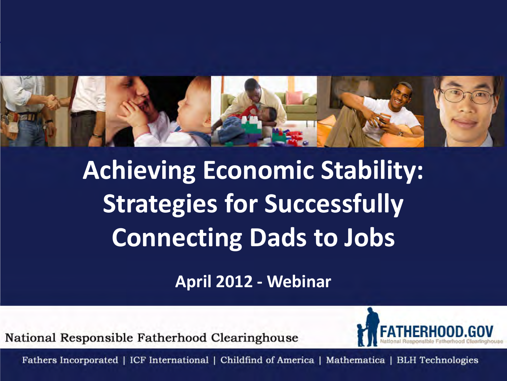

**Achieving Economic Stability: Strategies for Successfully Connecting Dads to Jobs**

**April 2012 - Webinar** 

National Responsible Fatherhood Clearinghouse

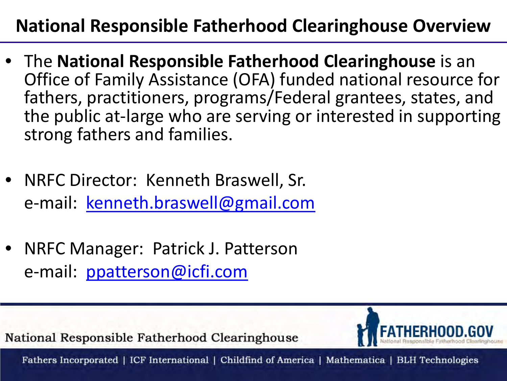### **National Responsible Fatherhood Clearinghouse Overview**

- The **National Responsible Fatherhood Clearinghouse** is an Office of Family Assistance (OFA) funded national resource for fathers, practitioners, programs/Federal grantees, states, and the public at-large who are serving or interested in supporting strong fathers and families.
- NRFC Director: Kenneth Braswell, Sr. e-mail: [kenneth.braswell@gmail.com](mailto:kenneth.braswell@gmail.com)
- NRFC Manager: Patrick J. Patterson e-mail: [ppatterson@icfi.com](mailto:ppatterson@icfi.com)

National Responsible Fatherhood Clearinghouse

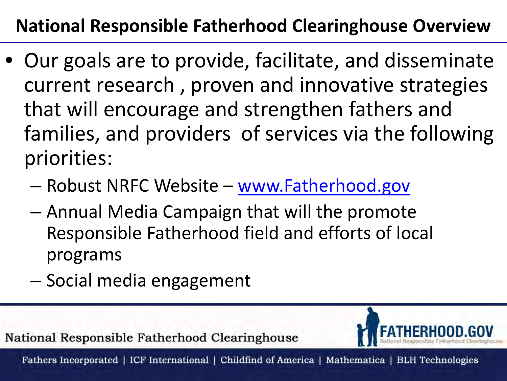### **National Responsible Fatherhood Clearinghouse Overview**

- Our goals are to provide, facilitate, and disseminate current research , proven and innovative strategies that will encourage and strengthen fathers and families, and providers of services via the following priorities:
	- Robust NRFC Website [www.Fatherhood.gov](http://www.fatherhood.gov/)
	- Annual Media Campaign that will the promote Responsible Fatherhood field and efforts of local programs
	- Social media engagement

National Responsible Fatherhood Clearinghouse

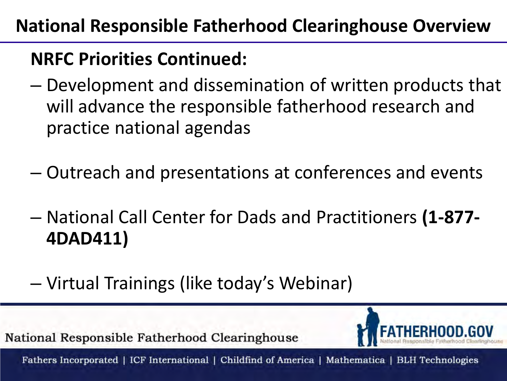### **National Responsible Fatherhood Clearinghouse Overview**

### **NRFC Priorities Continued:**

- Development and dissemination of written products that will advance the responsible fatherhood research and practice national agendas
- Outreach and presentations at conferences and events
- National Call Center for Dads and Practitioners **(1-877- 4DAD411)**
- Virtual Trainings (like today's Webinar)

National Responsible Fatherhood Clearinghouse

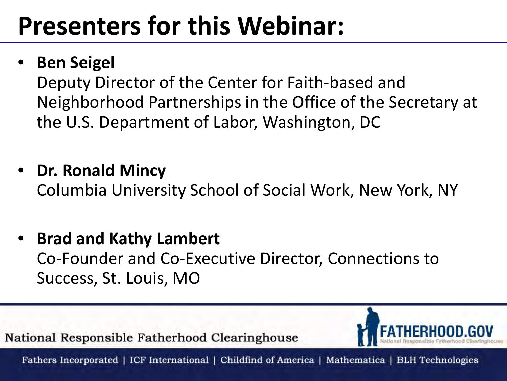## **Presenters for this Webinar:**

### • **Ben Seigel**

Deputy Director of the Center for Faith-based and Neighborhood Partnerships in the Office of the Secretary at the U.S. Department of Labor, Washington, DC

- **Dr. Ronald Mincy** Columbia University School of Social Work, New York, NY
- **Brad and Kathy Lambert**  Co-Founder and Co-Executive Director, Connections to Success, St. Louis, MO

National Responsible Fatherhood Clearinghouse

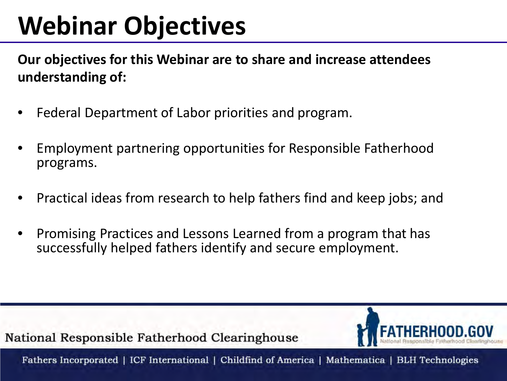# **Webinar Objectives**

**Our objectives for this Webinar are to share and increase attendees understanding of:** 

- Federal Department of Labor priorities and program.
- Employment partnering opportunities for Responsible Fatherhood programs.
- Practical ideas from research to help fathers find and keep jobs; and
- Promising Practices and Lessons Learned from a program that has successfully helped fathers identify and secure employment.

National Responsible Fatherhood Clearinghouse

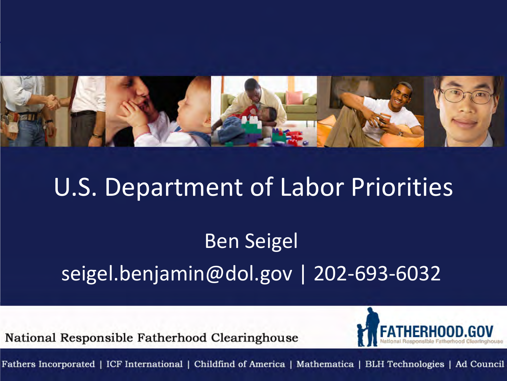

### U.S. Department of Labor Priorities

### Ben Seigel seigel.benjamin@dol.gov | 202-693-6032

National Responsible Fatherhood Clearinghouse

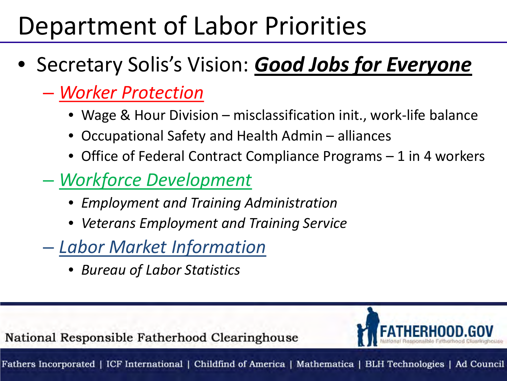## Department of Labor Priorities

- Secretary Solis's Vision: *Good Jobs for Everyone*
	- *Worker Protection*
		- Wage & Hour Division misclassification init., work-life balance
		- Occupational Safety and Health Admin alliances
		- Office of Federal Contract Compliance Programs 1 in 4 workers
	- *Workforce Development*
		- *Employment and Training Administration*
		- *Veterans Employment and Training Service*
	- *Labor Market Information*
		- *Bureau of Labor Statistics*

National Responsible Fatherhood Clearinghouse

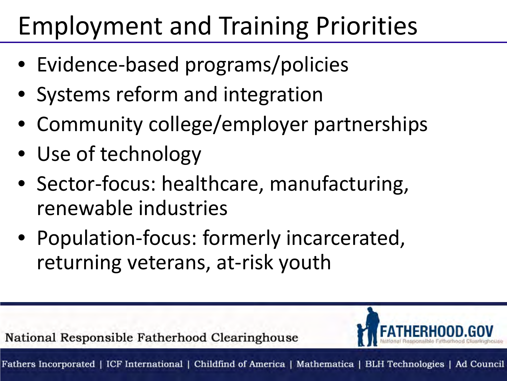# Employment and Training Priorities

- Evidence-based programs/policies
- Systems reform and integration
- Community college/employer partnerships
- Use of technology
- Sector-focus: healthcare, manufacturing, renewable industries
- Population-focus: formerly incarcerated, returning veterans, at-risk youth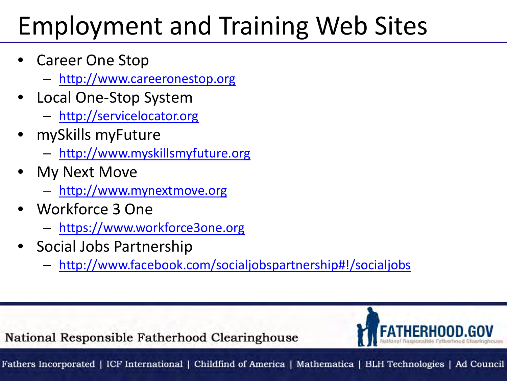# Employment and Training Web Sites

- Career One Stop
	- [http://www.careeronestop.org](http://www.careeronestop.org/)
- Local One-Stop System
	- [http://servicelocator.org](http://servicelocator.org/)
- mySkills myFuture
	- [http://www.myskillsmyfuture.org](http://www.myskillsmyfuture.org/)
- My Next Move
	- [http://www.mynextmove.org](http://www.mynextmove.org/)
- Workforce 3 One
	- [https://www.workforce3one.org](https://www.workforce3one.org/)
- Social Jobs Partnership
	- [http://www.facebook.com/socialjobspartnership#!/socialjobs](http://www.facebook.com/socialjobspartnership)

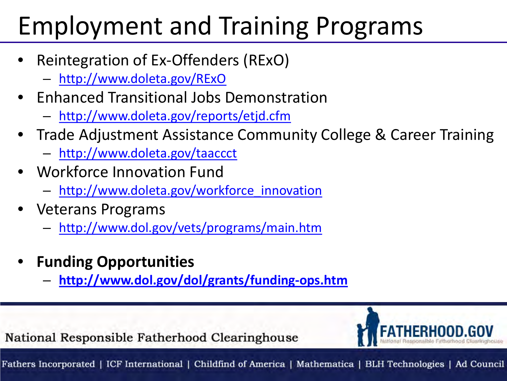# Employment and Training Programs

- Reintegration of Ex-Offenders (RExO)
	- <http://www.doleta.gov/RExO>
- Enhanced Transitional Jobs Demonstration
	- <http://www.doleta.gov/reports/etjd.cfm>
- Trade Adjustment Assistance Community College & Career Training
	- [http://www.doleta.gov/taaccct](http://www.doleta.gov/taaccct/)
- Workforce Innovation Fund
	- [http://www.doleta.gov/workforce\\_innovation](http://www.doleta.gov/workforce_innovation)
- Veterans Programs
	- <http://www.dol.gov/vets/programs/main.htm>
- **Funding Opportunities**
	- **<http://www.dol.gov/dol/grants/funding-ops.htm>**

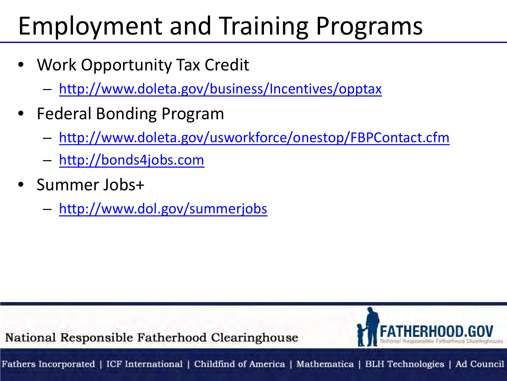# Employment and Training Programs

- Work Opportunity Tax Credit
	- <http://www.doleta.gov/business/Incentives/opptax>
- Federal Bonding Program
	- <http://www.doleta.gov/usworkforce/onestop/FBPContact.cfm>
	- [http://bonds4jobs.com](http://bonds4jobs.com/)
- Summer Jobs+
	- <http://www.dol.gov/summerjobs>

National Responsible Fatherhood Clearinghouse

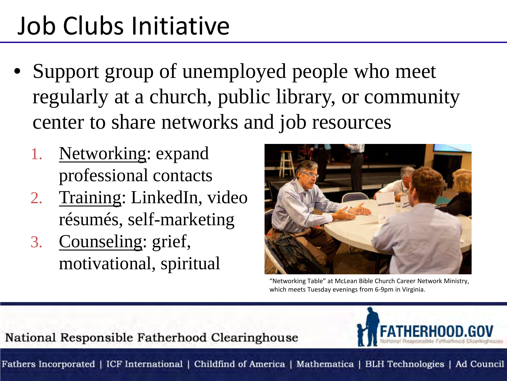## Job Clubs Initiative

- Support group of unemployed people who meet regularly at a church, public library, or community center to share networks and job resources
	- 1. Networking: expand professional contacts
	- 2. Training: LinkedIn, video résumés, self-marketing
	- 3. Counseling: grief, motivational, spiritual



"Networking Table" at McLean Bible Church Career Network Ministry, which meets Tuesday evenings from 6-9pm in Virginia.

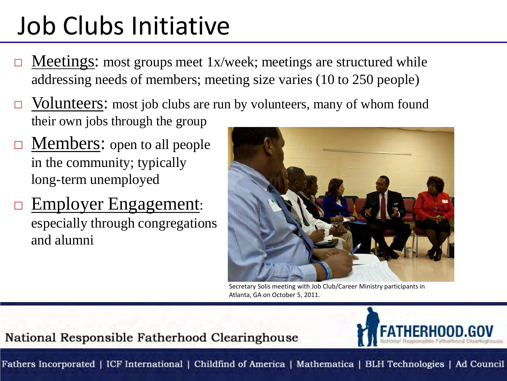# Job Clubs Initiative

- $\Box$  Meetings: most groups meet 1x/week; meetings are structured while addressing needs of members; meeting size varies (10 to 250 people)
- $\Box$  Volunteers: most job clubs are run by volunteers, many of whom found their own jobs through the group
- $\Box$  Members: open to all people in the community; typically long-term unemployed
- □ Employer Engagement: especially through congregations and alumni



Secretary Solis meeting with Job Club/Career Ministry participants in Atlanta, GA on October 5, 2011.

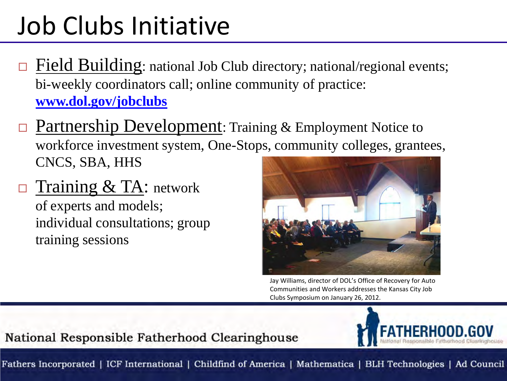## Job Clubs Initiative

- Field Building: national Job Club directory; national/regional events; bi-weekly coordinators call; online community of practice: **[www.dol.gov/jobclubs](http://www.dol.gov/jobclubs)**
- Partnership Development: Training & Employment Notice to workforce investment system, One-Stops, community colleges, grantees, CNCS, SBA, HHS
- Training & TA: network of experts and models; individual consultations; group training sessions



Jay Williams, director of DOL's Office of Recovery for Auto Communities and Workers addresses the Kansas City Job Clubs Symposium on January 26, 2012.

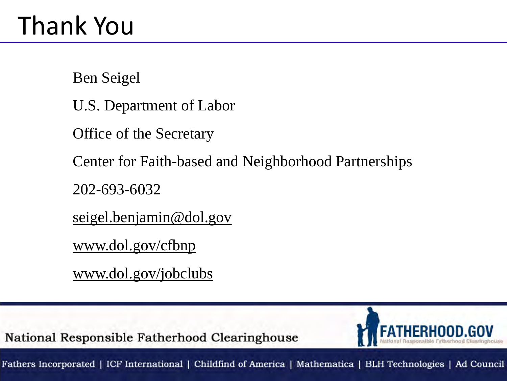Ben Seigel

U.S. Department of Labor

Office of the Secretary

Center for Faith-based and Neighborhood Partnerships

202-693-6032

seigel.benjamin@dol.gov

www.dol.gov/cfbnp

www.dol.gov/jobclubs

National Responsible Fatherhood Clearinghouse

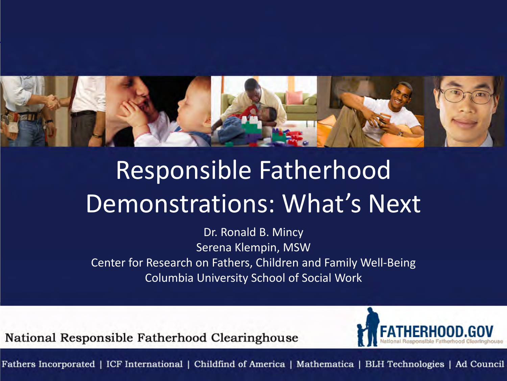

# Responsible Fatherhood Demonstrations: What's Next

Dr. Ronald B. Mincy Serena Klempin, MSW Center for Research on Fathers, Children and Family Well-Being Columbia University School of Social Work

National Responsible Fatherhood Clearinghouse

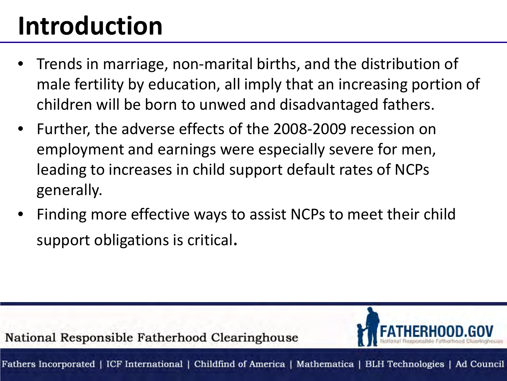# **Introduction**

- Trends in marriage, non-marital births, and the distribution of male fertility by education, all imply that an increasing portion of children will be born to unwed and disadvantaged fathers.
- Further, the adverse effects of the 2008-2009 recession on employment and earnings were especially severe for men, leading to increases in child support default rates of NCPs generally.
- Finding more effective ways to assist NCPs to meet their child support obligations is critical.

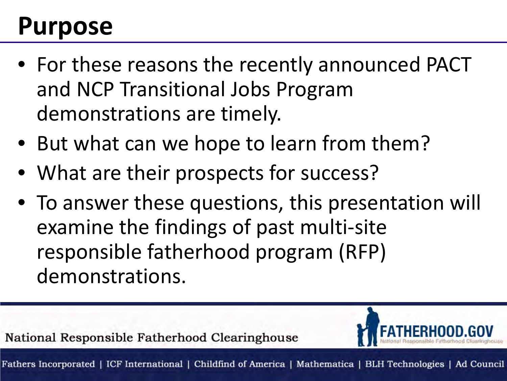## **Purpose**

- For these reasons the recently announced PACT and NCP Transitional Jobs Program demonstrations are timely.
- But what can we hope to learn from them?
- What are their prospects for success?
- To answer these questions, this presentation will examine the findings of past multi-site responsible fatherhood program (RFP) demonstrations.

National Responsible Fatherhood Clearinghouse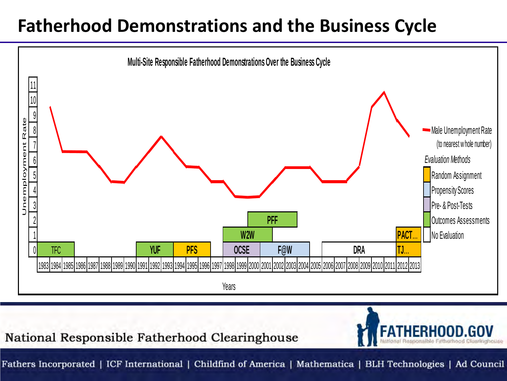### **Fatherhood Demonstrations and the Business Cycle**



National Responsible Fatherhood Clearinghouse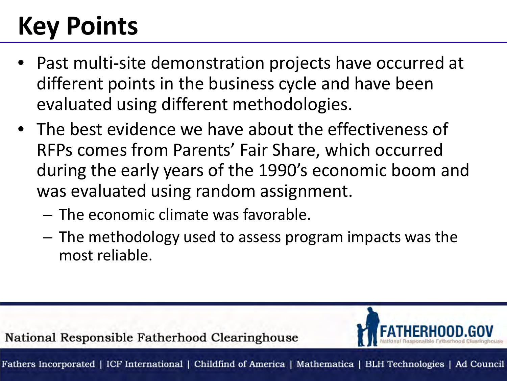# **Key Points**

- Past multi-site demonstration projects have occurred at different points in the business cycle and have been evaluated using different methodologies.
- The best evidence we have about the effectiveness of RFPs comes from Parents' Fair Share, which occurred during the early years of the 1990's economic boom and was evaluated using random assignment.
	- The economic climate was favorable.
	- The methodology used to assess program impacts was the most reliable.

National Responsible Fatherhood Clearinghouse Fathers Incorporated | ICF International | Childfind of America | Mathematica | BLH Technologies | Ad Council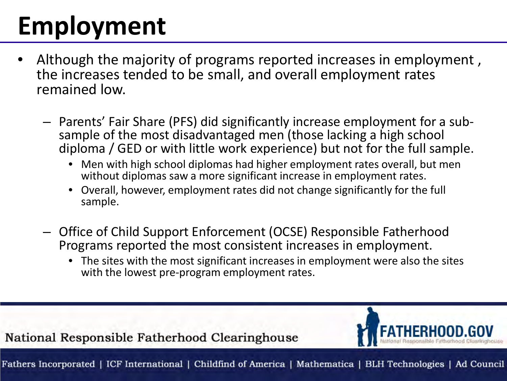# **Employment**

- Although the majority of programs reported increases in employment, the increases tended to be small, and overall employment rates remained low.
	- Parents' Fair Share (PFS) did significantly increase employment for a sub- sample of the most disadvantaged men (those lacking a high school diploma / GED or with little work experience) but not for the full sample.
		- Men with high school diplomas had higher employment rates overall, but men without diplomas saw a more significant increase in employment rates.
		- Overall, however, employment rates did not change significantly for the full sample.
	- Office of Child Support Enforcement (OCSE) Responsible Fatherhood Programs reported the most consistent increases in employment.
		- The sites with the most significant increases in employment were also the sites with the lowest pre-program employment rates.

National Responsible Fatherhood Clearinghouse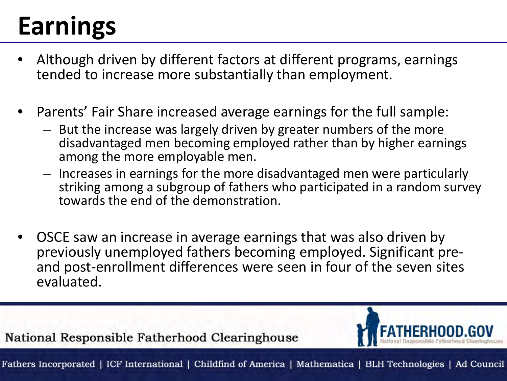# **Earnings**

- Although driven by different factors at different programs, earnings tended to increase more substantially than employment.
- Parents' Fair Share increased average earnings for the full sample:
	- But the increase was largely driven by greater numbers of the more disadvantaged men becoming employed rather than by higher earnings among the more employable men.
	- Increases in earnings for the more disadvantaged men were particularly striking among a subgroup of fathers who participated in a random survey towards the end of the demonstration.
- OSCE saw an increase in average earnings that was also driven by previously unemployed fathers becoming employed. Significant preand post-enrollment differences were seen in four of the seven sites evaluated.

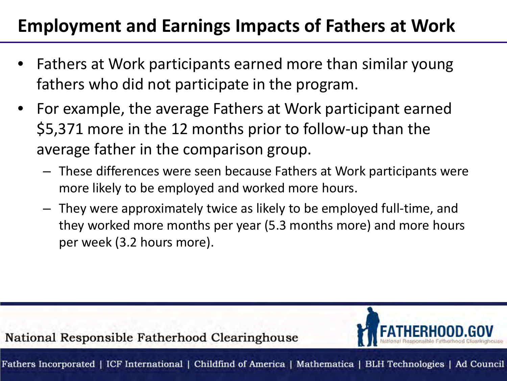### **Employment and Earnings Impacts of Fathers at Work**

- Fathers at Work participants earned more than similar young fathers who did not participate in the program.
- For example, the average Fathers at Work participant earned \$5,371 more in the 12 months prior to follow-up than the average father in the comparison group.
	- These differences were seen because Fathers at Work participants were more likely to be employed and worked more hours.
	- They were approximately twice as likely to be employed full-time, and they worked more months per year (5.3 months more) and more hours per week (3.2 hours more).

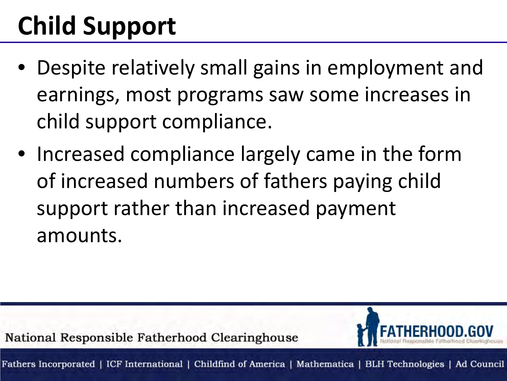# **Child Support**

- Despite relatively small gains in employment and earnings, most programs saw some increases in child support compliance.
- Increased compliance largely came in the form of increased numbers of fathers paying child support rather than increased payment amounts.

National Responsible Fatherhood Clearinghouse

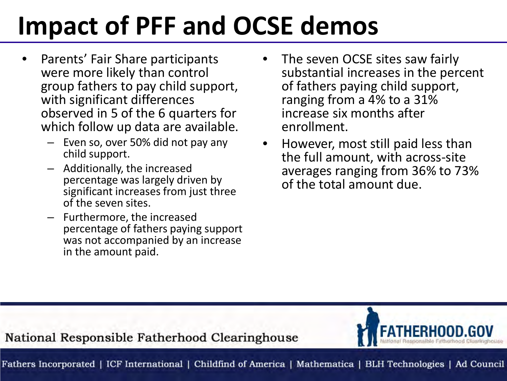# **Impact of PFF and OCSE demos**

- Parents' Fair Share participants were more likely than control group fathers to pay child support, with significant differences observed in 5 of the 6 quarters for which follow up data are available.
	- Even so, over 50% did not pay any child support.
	- Additionally, the increased percentage was largely driven by significant increases from just three of the seven sites.
	- Furthermore, the increased percentage of fathers paying support was not accompanied by an increase in the amount paid.
- The seven OCSE sites saw fairly substantial increases in the percent of fathers paying child support, ranging from a 4% to a 31% increase six months after enrollment.
- However, most still paid less than the full amount, with across-site averages ranging from 36% to 73% of the total amount due.

#### National Responsible Fatherhood Clearinghouse

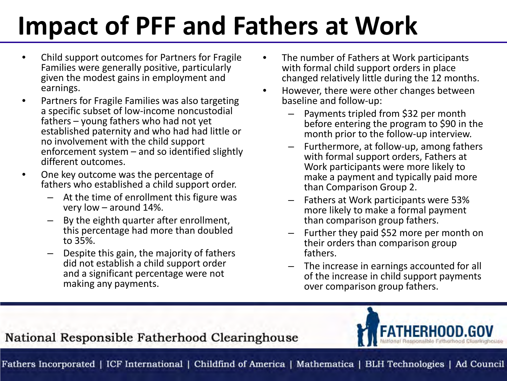# **Impact of PFF and Fathers at Work**

- Child support outcomes for Partners for Fragile Families were generally positive, particularly given the modest gains in employment and earnings.
- Partners for Fragile Families was also targeting a specific subset of low-income noncustodial fathers – young fathers who had not yet established paternity and who had had little or no involvement with the child support enforcement system – and so identified slightly different outcomes.
- One key outcome was the percentage of fathers who established a child support order.
	- At the time of enrollment this figure was very low – around 14%.
	- By the eighth quarter after enrollment, this percentage had more than doubled to 35%.
	- Despite this gain, the majority of fathers did not establish a child support order and a significant percentage were not making any payments.
- The number of Fathers at Work participants with formal child support orders in place changed relatively little during the 12 months.
- However, there were other changes between baseline and follow-up:
	- Payments tripled from \$32 per month before entering the program to \$90 in the month prior to the follow-up interview.
	- Furthermore, at follow-up, among fathers with formal support orders, Fathers at Work participants were more likely to make a payment and typically paid more than Comparison Group 2.
	- Fathers at Work participants were 53% more likely to make a formal payment than comparison group fathers.
	- Further they paid \$52 more per month on their orders than comparison group fathers.
	- The increase in earnings accounted for all of the increase in child support payments over comparison group fathers.



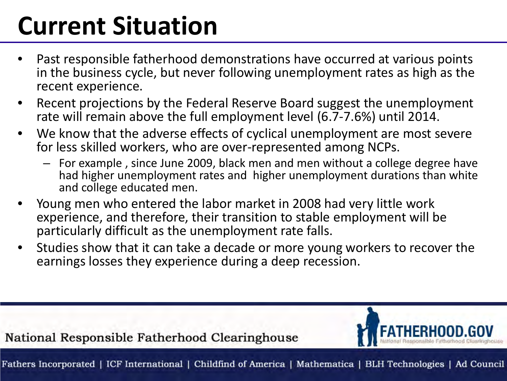# **Current Situation**

- Past responsible fatherhood demonstrations have occurred at various points in the business cycle, but never following unemployment rates as high as the recent experience.
- Recent projections by the Federal Reserve Board suggest the unemployment rate will remain above the full employment level (6.7-7.6%) until 2014.
- We know that the adverse effects of cyclical unemployment are most severe for less skilled workers, who are over-represented among NCPs.
	- For example , since June 2009, black men and men without a college degree have had higher unemployment rates and higher unemployment durations than white and college educated men.
- Young men who entered the labor market in 2008 had very little work experience, and therefore, their transition to stable employment will be particularly difficult as the unemployment rate falls.
- Studies show that it can take a decade or more young workers to recover the earnings losses they experience during a deep recession.

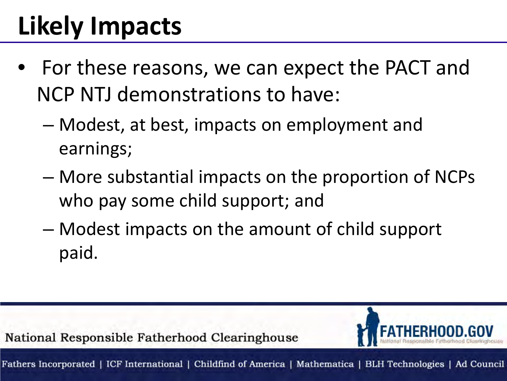# **Likely Impacts**

- For these reasons, we can expect the PACT and NCP NTJ demonstrations to have:
	- Modest, at best, impacts on employment and earnings;
	- More substantial impacts on the proportion of NCPs who pay some child support; and
	- Modest impacts on the amount of child support paid.

National Responsible Fatherhood Clearinghouse Fathers Incorporated | ICF International | Childfind of America | Mathematica | BLH Technologies | Ad Council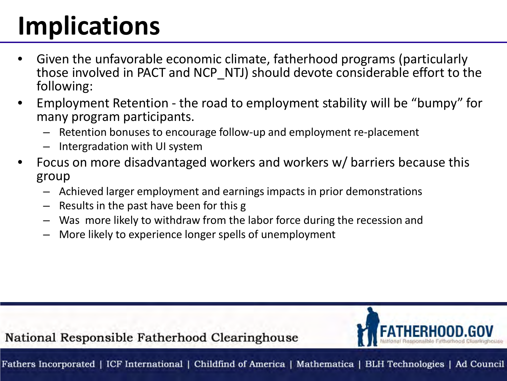# **Implications**

- Given the unfavorable economic climate, fatherhood programs (particularly those involved in PACT and NCP\_NTJ) should devote considerable effort to the following:
- Employment Retention the road to employment stability will be "bumpy" for many program participants.
	- Retention bonuses to encourage follow-up and employment re-placement
	- Intergradation with UI system
- Focus on more disadvantaged workers and workers w/ barriers because this group
	- Achieved larger employment and earnings impacts in prior demonstrations
	- Results in the past have been for this g
	- Was more likely to withdraw from the labor force during the recession and
	- More likely to experience longer spells of unemployment

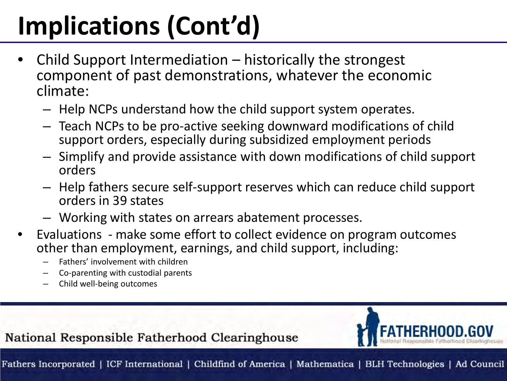# **Implications (Cont'd)**

- Child Support Intermediation historically the strongest component of past demonstrations, whatever the economic climate:
	- Help NCPs understand how the child support system operates.
	- Teach NCPs to be pro-active seeking downward modifications of child support orders, especially during subsidized employment periods
	- Simplify and provide assistance with down modifications of child support orders
	- Help fathers secure self-support reserves which can reduce child support orders in 39 states
	- Working with states on arrears abatement processes.
- Evaluations make some effort to collect evidence on program outcomes other than employment, earnings, and child support, including:
	- Fathers' involvement with children
	- Co-parenting with custodial parents
	- Child well-being outcomes

#### National Responsible Fatherhood Clearinghouse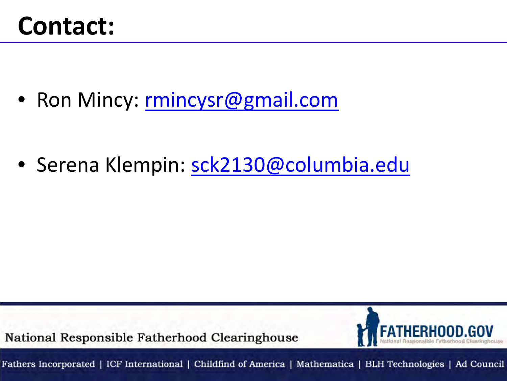### **Contact:**

• Ron Mincy: rmincysr@gmail.com

• Serena Klempin: [sck2130@columbia.edu](mailto:sck2130@columbia.edu)

National Responsible Fatherhood Clearinghouse

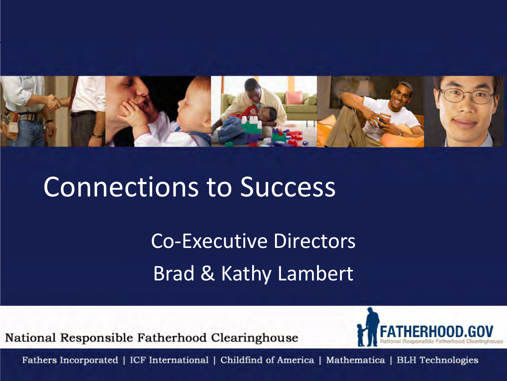

## Connections to Success

Co-Executive Directors Brad & Kathy Lambert

National Responsible Fatherhood Clearinghouse

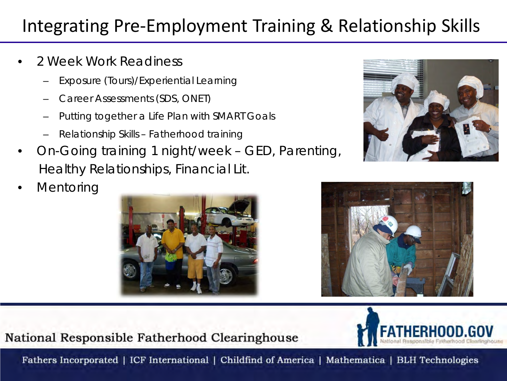### Integrating Pre-Employment Training & Relationship Skills

- 2 Week Work Readiness
	- Exposure (Tours)/Experiential Learning
	- Career Assessments (SDS, ONET)
	- Putting together a Life Plan with SMART Goals
	- Relationship Skills Fatherhood training
- On-Going training 1 night/week GED, Parenting, Healthy Relationships, Financial Lit.
- **Mentoring**







#### National Responsible Fatherhood Clearinghouse

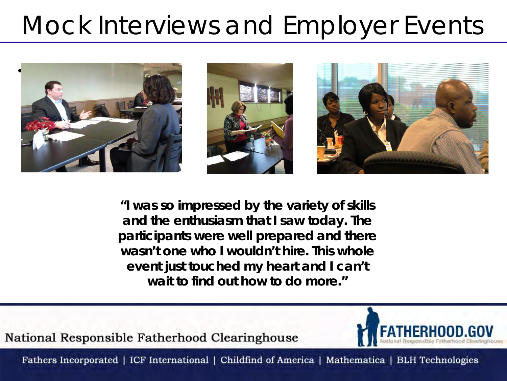## Mock Interviews and Employer Events



**"I was so impressed by the variety of skills and the enthusiasm that I saw today. The participants were well prepared and there wasn't one who I wouldn't hire. This whole event just touched my heart and I can't wait to find out how to do more."**

National Responsible Fatherhood Clearinghouse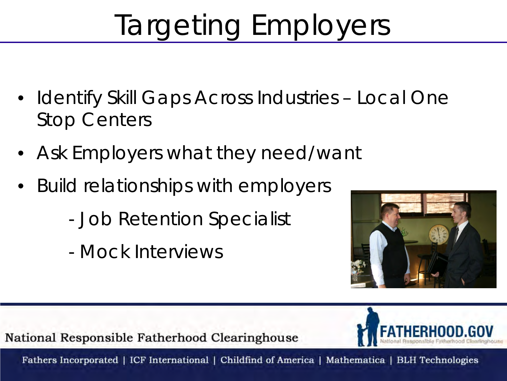# Targeting Employers

- Identify Skill Gaps Across Industries Local One Stop Centers
- Ask Employers what they need/want
- Build relationships with employers
	- Job Retention Specialist
	- Mock Interviews



National Responsible Fatherhood Clearinghouse

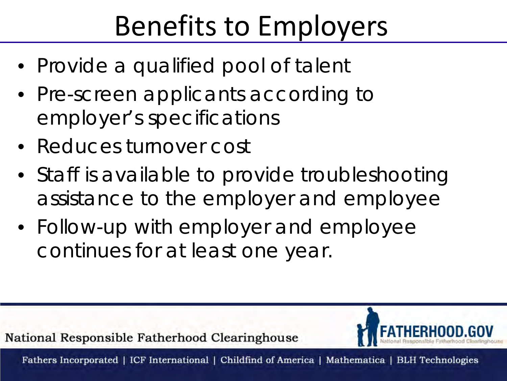# Benefits to Employers

- Provide a qualified pool of talent
- Pre-screen applicants according to employer's specifications
- Reduces turnover cost
- Staff is available to provide troubleshooting assistance to the employer and employee
- Follow-up with employer and employee continues for at least one year.

National Responsible Fatherhood Clearinghouse

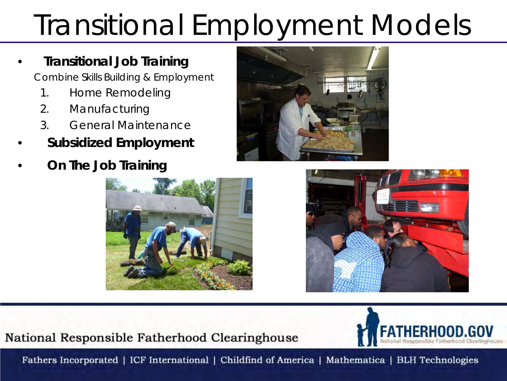# Transitional Employment Models

#### • **Transitional Job Training**

 *Combine Skills Building & Employment*

- *1. Home Remodeling*
- *2. Manufacturing*
- *3. General Maintenance*
- **Subsidized Employment**
- • **On The Job Training**







#### National Responsible Fatherhood Clearinghouse

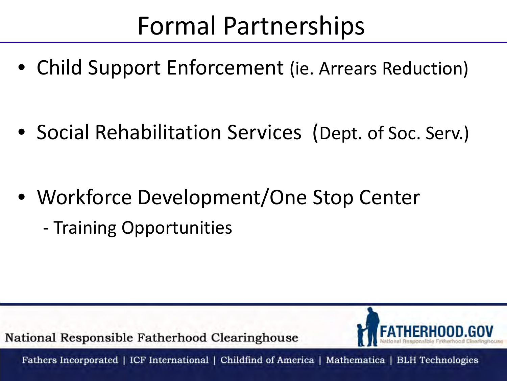## Formal Partnerships

• Child Support Enforcement (ie. Arrears Reduction)

• Social Rehabilitation Services (Dept. of Soc. Serv.)

- Workforce Development/One Stop Center
	- Training Opportunities

National Responsible Fatherhood Clearinghouse